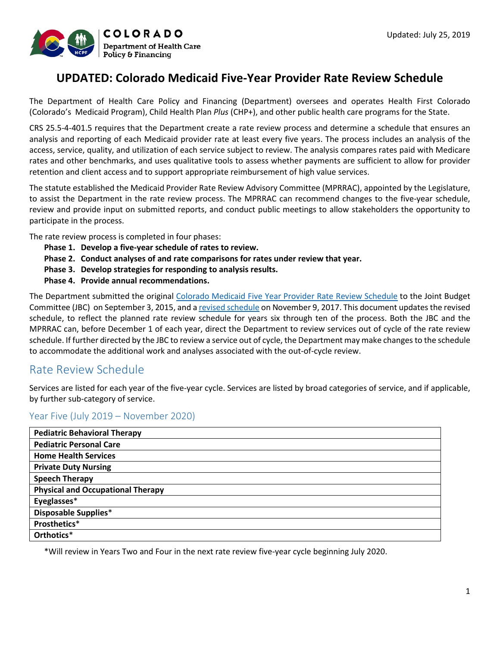

# **UPDATED: Colorado Medicaid Five-Year Provider Rate Review Schedule**

The Department of Health Care Policy and Financing (Department) oversees and operates Health First Colorado (Colorado's Medicaid Program), Child Health Plan *Plus* (CHP+), and other public health care programs for the State.

CRS 25.5-4-401.5 requires that the Department create a rate review process and determine a schedule that ensures an analysis and reporting of each Medicaid provider rate at least every five years. The process includes an analysis of the access, service, quality, and utilization of each service subject to review. The analysis compares rates paid with Medicare rates and other benchmarks, and uses qualitative tools to assess whether payments are sufficient to allow for provider retention and client access and to support appropriate reimbursement of high value services.

The statute established the Medicaid Provider Rate Review Advisory Committee (MPRRAC), appointed by the Legislature, to assist the Department in the rate review process. The MPRRAC can recommend changes to the five-year schedule, review and provide input on submitted reports, and conduct public meetings to allow stakeholders the opportunity to participate in the process.

The rate review process is completed in four phases:

- **Phase 1. Develop a five-year schedule of rates to review.**
- **Phase 2. Conduct analyses of and rate comparisons for rates under review that year.**
- **Phase 3. Develop strategies for responding to analysis results.**
- **Phase 4. Provide annual recommendations.**

The Department submitted the original [Colorado Medicaid Five Year Provider Rate Review Schedule](https://www.colorado.gov/pacific/sites/default/files/Medicaid%20Provider%20Rate%20Review%20Schedule%20October%202015.pdf) to the Joint Budget Committee (JBC) on September 3, 2015, and [a revised schedule](https://www.colorado.gov/pacific/sites/default/files/Updated%20Five-Year%20Schedule.pdf) on November 9, 2017. This document updates the revised schedule, to reflect the planned rate review schedule for years six through ten of the process. Both the JBC and the MPRRAC can, before December 1 of each year, direct the Department to review services out of cycle of the rate review schedule. If further directed by the JBC to review a service out of cycle, the Department may make changes to the schedule to accommodate the additional work and analyses associated with the out-of-cycle review.

# Rate Review Schedule

Services are listed for each year of the five-year cycle. Services are listed by broad categories of service, and if applicable, by further sub-category of service.

### Year Five (July 2019 – November 2020)

\*Will review in Years Two and Four in the next rate review five-year cycle beginning July 2020.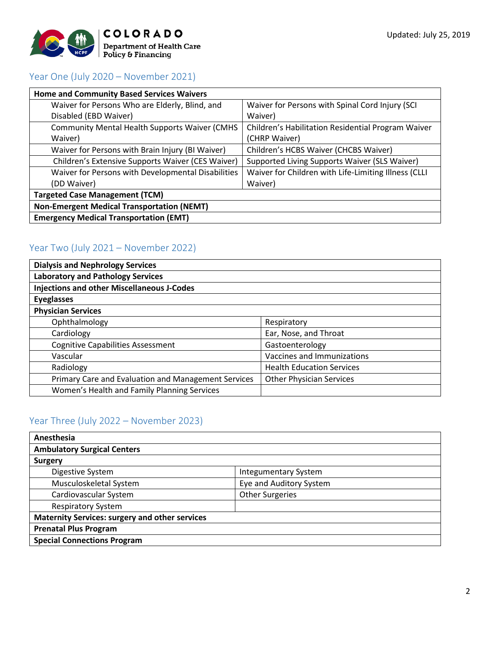

## Year One (July 2020 – November 2021)

| <b>Home and Community Based Services Waivers</b>      |                                                      |  |
|-------------------------------------------------------|------------------------------------------------------|--|
| Waiver for Persons Who are Elderly, Blind, and        | Waiver for Persons with Spinal Cord Injury (SCI      |  |
| Disabled (EBD Waiver)                                 | Waiver)                                              |  |
| <b>Community Mental Health Supports Waiver (CMHS)</b> | Children's Habilitation Residential Program Waiver   |  |
| Waiver)                                               | (CHRP Waiver)                                        |  |
| Waiver for Persons with Brain Injury (BI Waiver)      | Children's HCBS Waiver (CHCBS Waiver)                |  |
| Children's Extensive Supports Waiver (CES Waiver)     | Supported Living Supports Waiver (SLS Waiver)        |  |
| Waiver for Persons with Developmental Disabilities    | Waiver for Children with Life-Limiting Illness (CLLI |  |
| (DD Waiver)                                           | Waiver)                                              |  |
| <b>Targeted Case Management (TCM)</b>                 |                                                      |  |
| <b>Non-Emergent Medical Transportation (NEMT)</b>     |                                                      |  |
| <b>Emergency Medical Transportation (EMT)</b>         |                                                      |  |

## Year Two (July 2021 – November 2022)

| <b>Dialysis and Nephrology Services</b>             |                                  |
|-----------------------------------------------------|----------------------------------|
| <b>Laboratory and Pathology Services</b>            |                                  |
| <b>Injections and other Miscellaneous J-Codes</b>   |                                  |
| <b>Eyeglasses</b>                                   |                                  |
| <b>Physician Services</b>                           |                                  |
| Ophthalmology                                       | Respiratory                      |
| Cardiology                                          | Ear, Nose, and Throat            |
| <b>Cognitive Capabilities Assessment</b>            | Gastoenterology                  |
| Vascular                                            | Vaccines and Immunizations       |
| Radiology                                           | <b>Health Education Services</b> |
| Primary Care and Evaluation and Management Services | <b>Other Physician Services</b>  |
| Women's Health and Family Planning Services         |                                  |

## Year Three (July 2022 – November 2023)

| Anesthesia                                            |                             |  |
|-------------------------------------------------------|-----------------------------|--|
| <b>Ambulatory Surgical Centers</b>                    |                             |  |
| <b>Surgery</b>                                        |                             |  |
| Digestive System                                      | <b>Integumentary System</b> |  |
| Musculoskeletal System                                | Eye and Auditory System     |  |
| Cardiovascular System                                 | <b>Other Surgeries</b>      |  |
| <b>Respiratory System</b>                             |                             |  |
| <b>Maternity Services: surgery and other services</b> |                             |  |
| <b>Prenatal Plus Program</b>                          |                             |  |
| <b>Special Connections Program</b>                    |                             |  |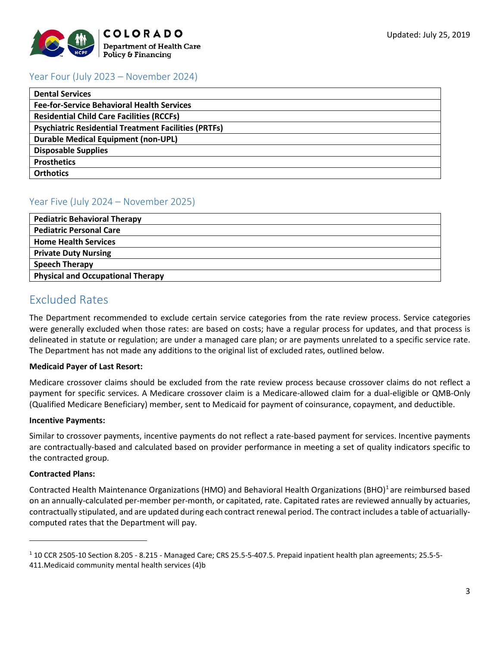

## Year Four (July 2023 – November 2024)

| <b>Dental Services</b>                                      |
|-------------------------------------------------------------|
| <b>Fee-for-Service Behavioral Health Services</b>           |
| <b>Residential Child Care Facilities (RCCFs)</b>            |
| <b>Psychiatric Residential Treatment Facilities (PRTFs)</b> |
| <b>Durable Medical Equipment (non-UPL)</b>                  |
| <b>Disposable Supplies</b>                                  |
| <b>Prosthetics</b>                                          |
| <b>Orthotics</b>                                            |

## Year Five (July 2024 – November 2025)

| <b>Pediatric Behavioral Therapy</b>      |
|------------------------------------------|
| <b>Pediatric Personal Care</b>           |
| <b>Home Health Services</b>              |
| <b>Private Duty Nursing</b>              |
| <b>Speech Therapy</b>                    |
| <b>Physical and Occupational Therapy</b> |

# Excluded Rates

The Department recommended to exclude certain service categories from the rate review process. Service categories were generally excluded when those rates: are based on costs; have a regular process for updates, and that process is delineated in statute or regulation; are under a managed care plan; or are payments unrelated to a specific service rate. The Department has not made any additions to the original list of excluded rates, outlined below.

### **Medicaid Payer of Last Resort:**

Medicare crossover claims should be excluded from the rate review process because crossover claims do not reflect a payment for specific services. A Medicare crossover claim is a Medicare-allowed claim for a dual-eligible or QMB-Only (Qualified Medicare Beneficiary) member, sent to Medicaid for payment of coinsurance, copayment, and deductible.

### **Incentive Payments:**

Similar to crossover payments, incentive payments do not reflect a rate-based payment for services. Incentive payments are contractually-based and calculated based on provider performance in meeting a set of quality indicators specific to the contracted group.

### **Contracted Plans:**

l

Contracted Health Maintenance Organizations (HMO) and Behavioral Health Organizations (BHO)<sup>[1](#page-2-0)</sup> are reimbursed based on an annually-calculated per-member per-month, or capitated, rate. Capitated rates are reviewed annually by actuaries, contractually stipulated, and are updated during each contract renewal period. The contract includes a table of actuariallycomputed rates that the Department will pay.

<span id="page-2-0"></span><sup>1</sup> 10 CCR 2505-10 Section 8.205 - 8.215 - Managed Care; CRS 25.5-5-407.5. Prepaid inpatient health plan agreements; 25.5-5-